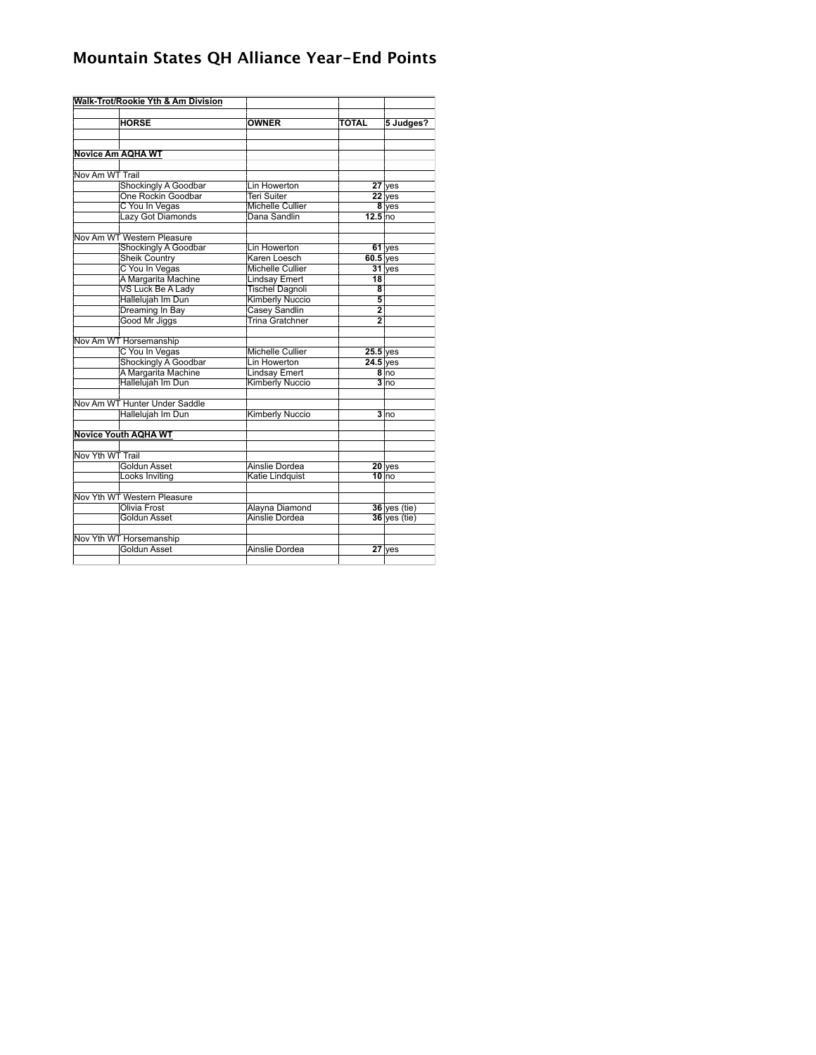## **Mountain States QH Alliance Year-End Points**

|                             | Walk-Trot/Rookie Yth & Am Division |                         |                    |                  |
|-----------------------------|------------------------------------|-------------------------|--------------------|------------------|
|                             |                                    |                         |                    |                  |
|                             | <b>HORSE</b>                       | <b>OWNER</b>            | <b>TOTAL</b>       | 5 Judges?        |
|                             |                                    |                         |                    |                  |
|                             |                                    |                         |                    |                  |
|                             | <b>Novice Am AQHA WT</b>           |                         |                    |                  |
|                             |                                    |                         |                    |                  |
| Nov Am WT Trail             |                                    |                         |                    |                  |
|                             | Shockingly A Goodbar               | Lin Howerton            |                    | $27$ yes         |
|                             | One Rockin Goodbar                 | <b>Teri Suiter</b>      |                    | $22$ yes         |
|                             | C You In Vegas                     | <b>Michelle Cullier</b> |                    | 8 yes            |
|                             | Lazy Got Diamonds                  | Dana Sandlin            | 12.5 <sub>no</sub> |                  |
|                             |                                    |                         |                    |                  |
|                             | Nov Am WT Western Pleasure         |                         |                    |                  |
|                             | Shockingly A Goodbar               | Lin Howerton            |                    | $61$ yes         |
|                             | <b>Sheik Country</b>               | Karen Loesch            | $60.5$ yes         |                  |
|                             | C You In Vegas                     | <b>Michelle Cullier</b> |                    | $31$ yes         |
|                             | A Margarita Machine                | <b>Lindsay Emert</b>    | 18                 |                  |
|                             | VS Luck Be A Lady                  | <b>Tischel Dagnoli</b>  | 8                  |                  |
|                             | Hallelujah Im Dun                  | <b>Kimberly Nuccio</b>  | $\overline{5}$     |                  |
|                             | Dreaming In Bay                    | Casey Sandlin           | $\overline{2}$     |                  |
|                             | Good Mr Jiggs                      | <b>Trina Gratchner</b>  | $\overline{2}$     |                  |
|                             |                                    |                         |                    |                  |
|                             | Nov Am WT Horsemanship             |                         |                    |                  |
|                             | C You In Vegas                     | <b>Michelle Cullier</b> | $25.5$ yes         |                  |
|                             | <b>Shockingly A Goodbar</b>        | Lin Howerton            | $24.5$ yes         |                  |
|                             | A Margarita Machine                | <b>Lindsay Emert</b>    |                    | $8 \text{ho}$    |
|                             | Hallelujah Im Dun                  | <b>Kimberly Nuccio</b>  |                    | $3 \overline{p}$ |
|                             |                                    |                         |                    |                  |
|                             | Nov Am WT Hunter Under Saddle      |                         |                    |                  |
|                             | Hallelujah Im Dun                  | <b>Kimberly Nuccio</b>  |                    | 3 <sub>lno</sub> |
|                             |                                    |                         |                    |                  |
|                             | <b>Novice Youth AQHA WT</b>        |                         |                    |                  |
|                             |                                    |                         |                    |                  |
| Nov Yth WT Trail            |                                    |                         |                    |                  |
|                             | Goldun Asset                       | Ainslie Dordea          |                    | $20$ yes         |
|                             | Looks Inviting                     | Katie Lindquist         |                    | $10$ no          |
|                             |                                    |                         |                    |                  |
| Nov Yth WT Western Pleasure |                                    |                         |                    |                  |
|                             | <b>Olivia Frost</b>                | Alayna Diamond          |                    | $36$ yes (tie)   |
|                             | Goldun Asset                       | Ainslie Dordea          |                    | $36$ yes (tie)   |
|                             |                                    |                         |                    |                  |
|                             | Nov Yth WT Horsemanship            |                         |                    |                  |
|                             | Goldun Asset                       | Ainslie Dordea          |                    | $27$ yes         |
|                             |                                    |                         |                    |                  |